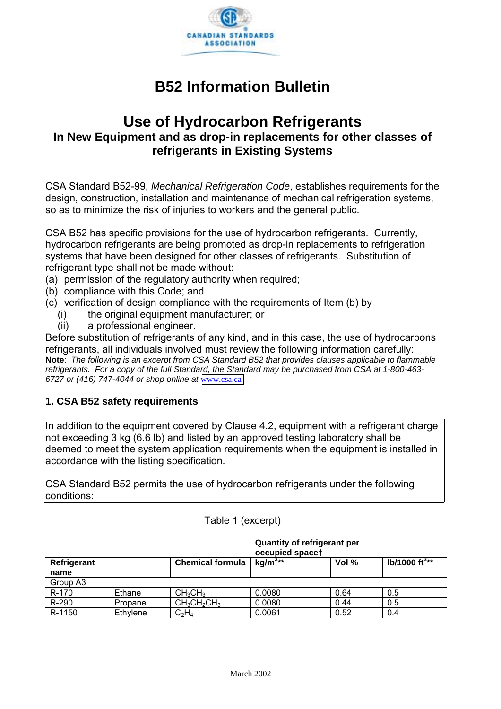

# **B52 Information Bulletin**

# **Use of Hydrocarbon Refrigerants In New Equipment and as drop-in replacements for other classes of refrigerants in Existing Systems**

CSA Standard B52-99, *Mechanical Refrigeration Code*, establishes requirements for the design, construction, installation and maintenance of mechanical refrigeration systems, so as to minimize the risk of injuries to workers and the general public.

CSA B52 has specific provisions for the use of hydrocarbon refrigerants. Currently, hydrocarbon refrigerants are being promoted as drop-in replacements to refrigeration systems that have been designed for other classes of refrigerants. Substitution of refrigerant type shall not be made without:

- (a) permission of the regulatory authority when required;
- (b) compliance with this Code; and
- (c) verification of design compliance with the requirements of Item (b) by
	- (i) the original equipment manufacturer; or
	- (ii) a professional engineer.

Before substitution of refrigerants of any kind, and in this case, the use of hydrocarbons refrigerants, all individuals involved must review the following information carefully: **Note**: *The following is an excerpt from CSA Standard B52 that provides clauses applicable to flammable refrigerants. For a copy of the full Standard, the Standard may be purchased from CSA at 1-800-463- 6727 or (416) 747-4044 or shop online at* [www.csa.ca](http://www.csa.ca/)

# **1. CSA B52 safety requirements**

In addition to the equipment covered by Clause 4.2, equipment with a refrigerant charge not exceeding 3 kg (6.6 lb) and listed by an approved testing laboratory shall be deemed to meet the system application requirements when the equipment is installed in accordance with the listing specification.

CSA Standard B52 permits the use of hydrocarbon refrigerants under the following conditions:

|                     |          |                                 | <b>Quantity of refrigerant per</b><br>occupied spacet |       |                   |
|---------------------|----------|---------------------------------|-------------------------------------------------------|-------|-------------------|
| Refrigerant<br>name |          | <b>Chemical formula</b>         | $kg/m^{3**}$                                          | Vol % | lb/1000 ft $3***$ |
| Group A3            |          |                                 |                                                       |       |                   |
| R-170               | Ethane   | CH <sub>3</sub> CH <sub>3</sub> | 0.0080                                                | 0.64  | 0.5               |
| R-290               | Propane  | $CH_3CH_2CH_3$                  | 0.0080                                                | 0.44  | 0.5               |
| R-1150              | Ethylene | $C_2H_4$                        | 0.0061                                                | 0.52  | 0.4               |

Table 1 (excerpt)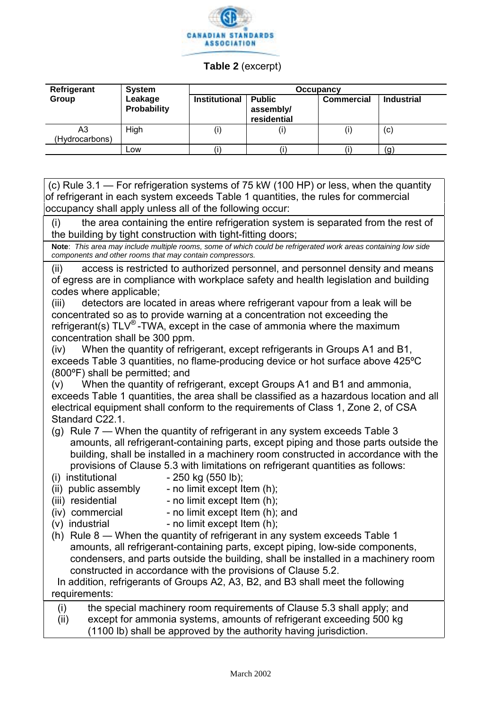

#### **Table 2** (excerpt)

| Refrigerant          | <b>System</b>          | Occupancy            |                                           |                   |                   |
|----------------------|------------------------|----------------------|-------------------------------------------|-------------------|-------------------|
| Group                | Leakage<br>Probability | <b>Institutional</b> | <b>Public</b><br>assembly/<br>residential | <b>Commercial</b> | <b>Industrial</b> |
| A3<br>(Hydrocarbons) | High                   | (i)                  | (i)                                       | (i)               | (c)               |
|                      | ∟0W                    |                      |                                           |                   | (g)               |

(c) Rule  $3.1$  – For refrigeration systems of 75 kW (100 HP) or less, when the quantity of refrigerant in each system exceeds Table 1 quantities, the rules for commercial occupancy shall apply unless all of the following occur:

(i) the area containing the entire refrigeration system is separated from the rest of the building by tight construction with tight-fitting doors;

**Note**: *This area may include multiple rooms, some of which could be refrigerated work areas containing low side components and other rooms that may contain compressors.*

(ii) access is restricted to authorized personnel, and personnel density and means of egress are in compliance with workplace safety and health legislation and building codes where applicable;

(iii) detectors are located in areas where refrigerant vapour from a leak will be concentrated so as to provide warning at a concentration not exceeding the refrigerant(s)  $TLV<sup>®</sup> - TWA$ , except in the case of ammonia where the maximum concentration shall be 300 ppm.

(iv) When the quantity of refrigerant, except refrigerants in Groups A1 and B1, exceeds Table 3 quantities, no flame-producing device or hot surface above 425ºC (800ºF) shall be permitted; and

(v) When the quantity of refrigerant, except Groups A1 and B1 and ammonia, exceeds Table 1 quantities, the area shall be classified as a hazardous location and all electrical equipment shall conform to the requirements of Class 1, Zone 2, of CSA Standard C22.1.

- (g) Rule  $7 -$  When the quantity of refrigerant in any system exceeds Table 3 amounts, all refrigerant-containing parts, except piping and those parts outside the building, shall be installed in a machinery room constructed in accordance with the provisions of Clause 5.3 with limitations on refrigerant quantities as follows:
- (i) institutional  $-250$  kg (550 lb);
- (ii) public assembly  $\blacksquare$  no limit except Item (h);
- (iii) residential  $-$  no limit except Item (h);
- $(iv)$  commercial  $-$  no limit except Item  $(h)$ ; and
- $(v)$  industrial  $\qquad \qquad$  no limit except Item (h):
- (h) Rule 8 ― When the quantity of refrigerant in any system exceeds Table 1 amounts, all refrigerant-containing parts, except piping, low-side components, condensers, and parts outside the building, shall be installed in a machinery room constructed in accordance with the provisions of Clause 5.2.

 In addition, refrigerants of Groups A2, A3, B2, and B3 shall meet the following requirements:

| (i)  | the special machinery room requirements of Clause 5.3 shall apply; and |
|------|------------------------------------------------------------------------|
| (ii) | except for ammonia systems, amounts of refrigerant exceeding 500 kg    |
|      | (1100 lb) shall be approved by the authority having jurisdiction.      |